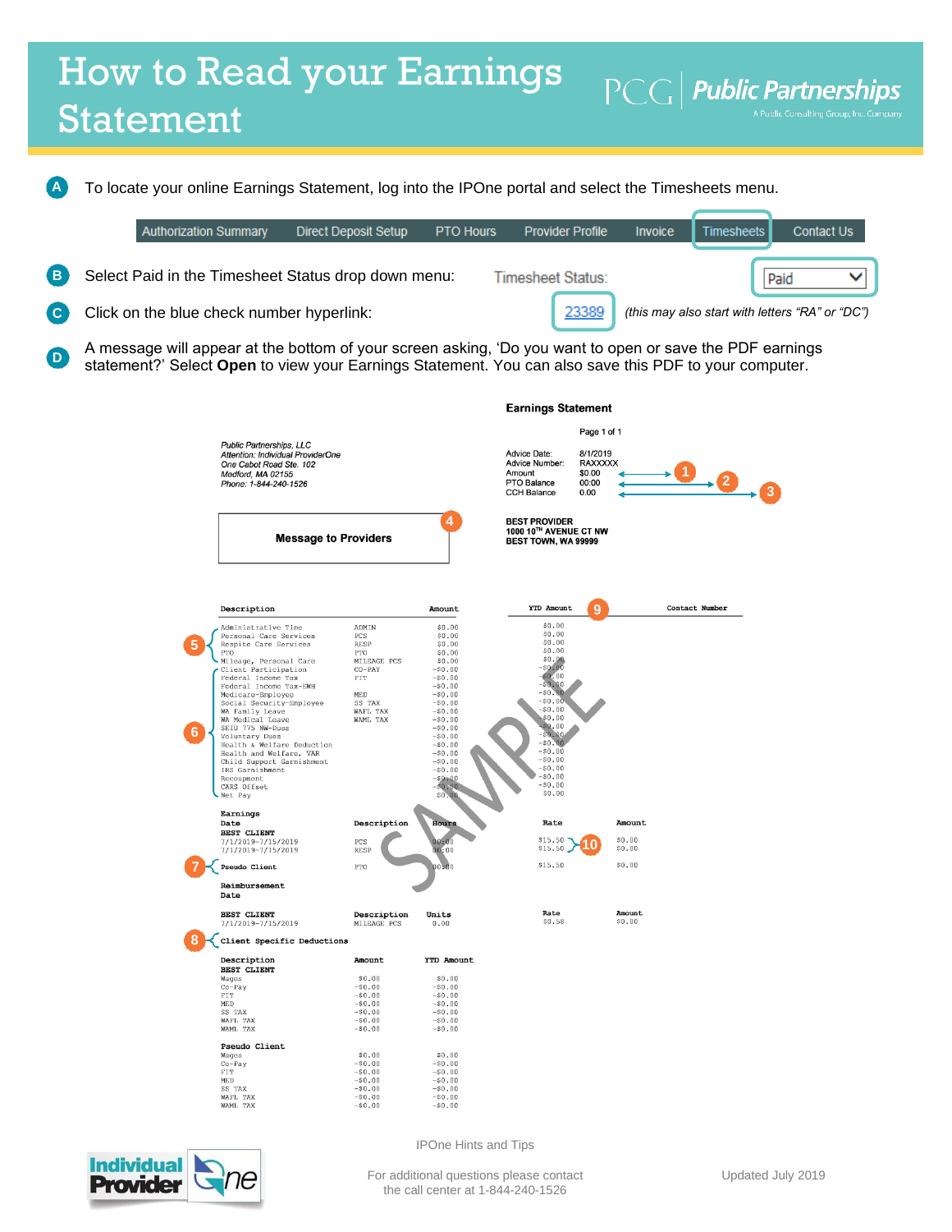## How to Read your Earnings  $\left| \text{PCG} \right|$  Public Partnerships Statement

To locate your online Earnings Statement, log into the IPOne portal and select the Timesheets menu. **A**

|          | <b>Authorization Summary</b>                                                                                     | <b>Direct Deposit Setup</b> | <b>PTO Hours</b> | <b>Provider Profile</b> | <b>Invoice</b> | Timesheets | <b>Contact Us</b>                               |
|----------|------------------------------------------------------------------------------------------------------------------|-----------------------------|------------------|-------------------------|----------------|------------|-------------------------------------------------|
| (B       | Select Paid in the Timesheet Status drop down menu:                                                              |                             |                  | Timesheet Status:       |                |            | Paid                                            |
| <b>C</b> | Click on the blue check number hyperlink:                                                                        |                             |                  | 23389                   |                |            | (this may also start with letters "RA" or "DC") |
|          | A meassasse will appear at the betters of very several selvice. (De very wort to energie and any the DDE several |                             |                  |                         |                |            |                                                 |

A message will appear at the bottom of your screen asking, 'Do you want to open or save the PDF earnings statement?' Select **Open** to view your Earnings Statement. You can also save this PDF to your computer. **D**

|                                                                                                                                                                                                                                                                                                                                                                                                                                                                                         |                                                                                                                                                                            |                                                                                                                                                                                                                                                         |                                                                                                                                                                                                                                                | <b>Earnings Statement</b>                                            |                |  |  |
|-----------------------------------------------------------------------------------------------------------------------------------------------------------------------------------------------------------------------------------------------------------------------------------------------------------------------------------------------------------------------------------------------------------------------------------------------------------------------------------------|----------------------------------------------------------------------------------------------------------------------------------------------------------------------------|---------------------------------------------------------------------------------------------------------------------------------------------------------------------------------------------------------------------------------------------------------|------------------------------------------------------------------------------------------------------------------------------------------------------------------------------------------------------------------------------------------------|----------------------------------------------------------------------|----------------|--|--|
| Public Partnerships, LLC<br>Attention: Individual ProviderOne<br>One Cabot Road Ste. 102<br>Medford, MA 02155<br>Phone: 1-844-240-1526                                                                                                                                                                                                                                                                                                                                                  |                                                                                                                                                                            |                                                                                                                                                                                                                                                         | <b>Advice Date:</b><br>Advice Number:<br>Amount<br>PTO Balance<br><b>CCH Balance</b>                                                                                                                                                           | Page 1 of 1<br>8/1/2019<br><b>RAXXXXX</b><br>\$0.00<br>00:00<br>0.00 | 2 _            |  |  |
|                                                                                                                                                                                                                                                                                                                                                                                                                                                                                         | 4<br><b>Message to Providers</b>                                                                                                                                           |                                                                                                                                                                                                                                                         |                                                                                                                                                                                                                                                | 1000 10™ AVENUE CT NW<br>BEST TOWN, WA 99999                         |                |  |  |
| Description                                                                                                                                                                                                                                                                                                                                                                                                                                                                             |                                                                                                                                                                            | Amount                                                                                                                                                                                                                                                  | YTD Amount                                                                                                                                                                                                                                     | 9                                                                    | Contact Number |  |  |
| Administrative Time<br>Personal Care Services<br>Respite Care Services<br>PTO<br>Mileage, Personal Care<br>Client Participation<br>Federal Income Tax<br>Federal Income Tax-EWH<br>Medicare-Employee<br>Social Security-Employee<br>WA Family Leave<br>WA Medical Leave<br>SEIU 775 NW-Dues<br>6<br>Voluntary Dues<br>Health & Welfare Deduction<br>Health and Welfare, VAR<br>Child Support Garnishment<br>IRS Garnishment<br>Recoupment<br>CARS Offset<br>Net Pay<br>Earnings<br>Date | ADMIN<br>PCS<br>RESP<br>PTO<br>MILEAGE PCS<br>$CO-PAY$<br>${\rm FIT}$<br>MED<br>SS TAX<br>WAFL TAX<br>WAML TAX<br>Description                                              | \$0.00<br>\$0.00<br>\$0.00<br>\$0.00<br>\$0.00<br>$-50.00$<br>$-50.00$<br>$-50.00$<br>$-50.00$<br>$-50.00$<br>$-50.00$<br>$-50.00$<br>$-50.00$<br>$-50.00$<br>$-50.00$<br>$-50.00$<br>$-50.00$<br>$-50.00$<br>$-80 - 00$<br>$-50.00$<br>\$0.00<br>Hours | \$0.00<br>\$0.00<br>\$0.00<br>\$0.00<br>\$0.00<br>$-50.00$<br>\$0.00<br>$-50.00$<br>$-50.00$<br>$-50.00$<br>$-50.00$<br>\$0.00<br>\$0.00<br>$-50.00$<br>$-50.00$<br>$-50.00$<br>$-50.00$<br>$-50.00$<br>$-50.00$<br>$-50.00$<br>\$0.00<br>Rate | Amount                                                               |                |  |  |
| <b>BEST CLIENT</b><br>7/1/2019-7/15/2019<br>7/1/2019-7/15/2019<br>Pseudo Client<br>Reimbursement<br>Date                                                                                                                                                                                                                                                                                                                                                                                | <b>PCS</b><br><b>RESP</b><br>PTO                                                                                                                                           | 00:00<br>00:00<br>00.60                                                                                                                                                                                                                                 | \$15.50<br>\$15.50<br>\$15.50                                                                                                                                                                                                                  | \$0.00<br>\$0.00<br>\$0.00                                           |                |  |  |
| <b>BEST CLIENT</b><br>7/1/2019-7/15/2019                                                                                                                                                                                                                                                                                                                                                                                                                                                | Description<br>MILEAGE PCS                                                                                                                                                 | Units<br>0.00                                                                                                                                                                                                                                           | Rate<br>\$0.58                                                                                                                                                                                                                                 | Amount<br>\$0.00                                                     |                |  |  |
| Client Specific Deductions<br>Description<br><b>BEST CLIENT</b><br>Wages<br>$Co-Pay$<br>FIT<br>MED<br>SS TAX<br>WAFL TAX<br>WAML TAX<br>Pseudo Client<br>Wages<br>$Co-Pay$<br><b>FTT</b><br>MED<br>SS TAX<br>WAFL TAX<br>WAML TAX                                                                                                                                                                                                                                                       | Amount<br>\$0.00<br>$-50.00$<br>$-50.00$<br>$-50.00$<br>$-50.00$<br>$-50.00$<br>$-50.00$<br>\$0.00<br>$-50.00$<br>$-50.00$<br>$-50.00$<br>$-50.00$<br>$-50.00$<br>$-50.00$ | YTD Amount<br>\$0.00<br>$-50.00$<br>$-50.00$<br>$-50.00$<br>$-50.00$<br>$-50.00$<br>$-50.00$<br>\$0.00<br>$-50.00$<br>$-50.00$<br>$-50.00$<br>$-50.00$<br>$-50.00$<br>$-50.00$                                                                          |                                                                                                                                                                                                                                                |                                                                      |                |  |  |



IPOne Hints and Tips